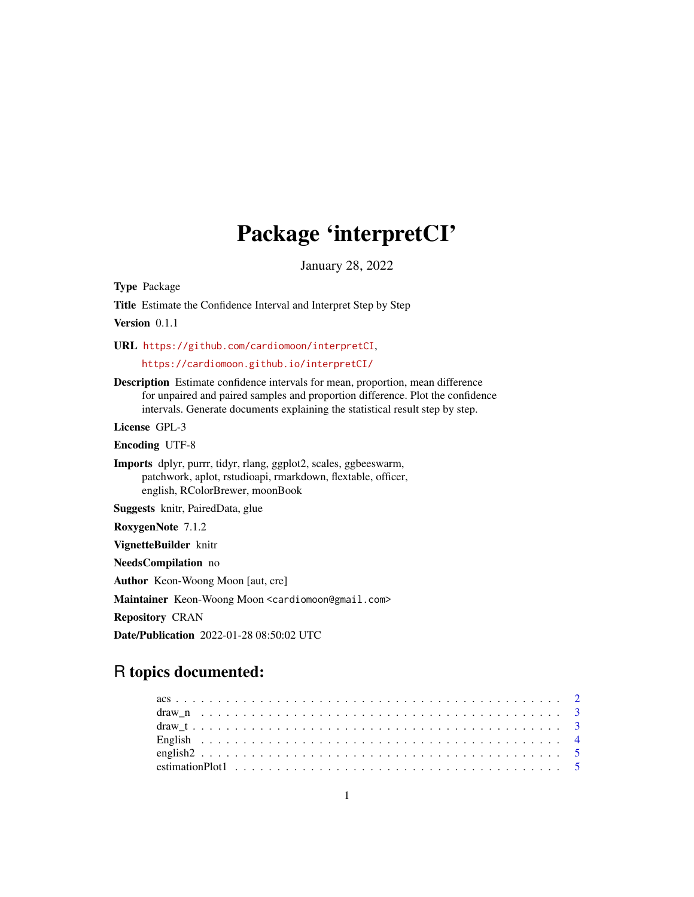# Package 'interpretCI'

January 28, 2022

Type Package

Title Estimate the Confidence Interval and Interpret Step by Step

Version 0.1.1

URL <https://github.com/cardiomoon/interpretCI>,

<https://cardiomoon.github.io/interpretCI/>

Description Estimate confidence intervals for mean, proportion, mean difference for unpaired and paired samples and proportion difference. Plot the confidence intervals. Generate documents explaining the statistical result step by step.

License GPL-3

Encoding UTF-8

Imports dplyr, purrr, tidyr, rlang, ggplot2, scales, ggbeeswarm, patchwork, aplot, rstudioapi, rmarkdown, flextable, officer, english, RColorBrewer, moonBook

Suggests knitr, PairedData, glue

RoxygenNote 7.1.2

VignetteBuilder knitr

NeedsCompilation no

Author Keon-Woong Moon [aut, cre]

Maintainer Keon-Woong Moon <cardiomoon@gmail.com>

Repository CRAN

Date/Publication 2022-01-28 08:50:02 UTC

# R topics documented: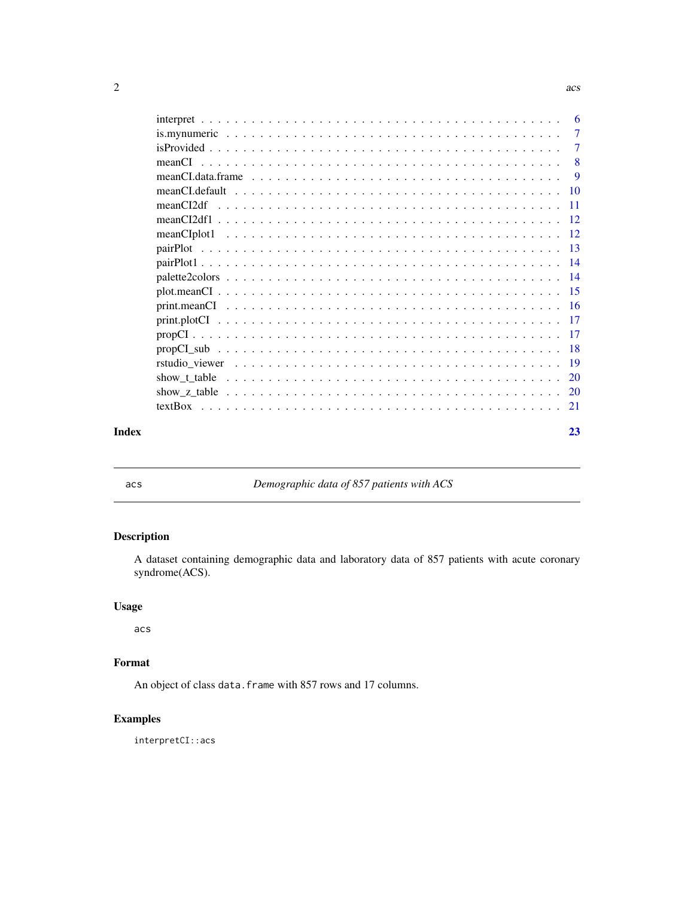<span id="page-1-0"></span>

|       | -6                        |
|-------|---------------------------|
|       | $\overline{7}$            |
|       | -7                        |
|       | $\overline{\phantom{0}}8$ |
|       | -9                        |
|       |                           |
|       |                           |
|       |                           |
|       |                           |
|       |                           |
|       |                           |
|       |                           |
|       |                           |
|       |                           |
|       |                           |
|       |                           |
|       |                           |
|       |                           |
|       |                           |
|       |                           |
|       |                           |
| Index | 23                        |

acs *Demographic data of 857 patients with ACS*

# Description

A dataset containing demographic data and laboratory data of 857 patients with acute coronary syndrome(ACS).

#### Usage

acs

# Format

An object of class data. frame with 857 rows and 17 columns.

# Examples

interpretCI::acs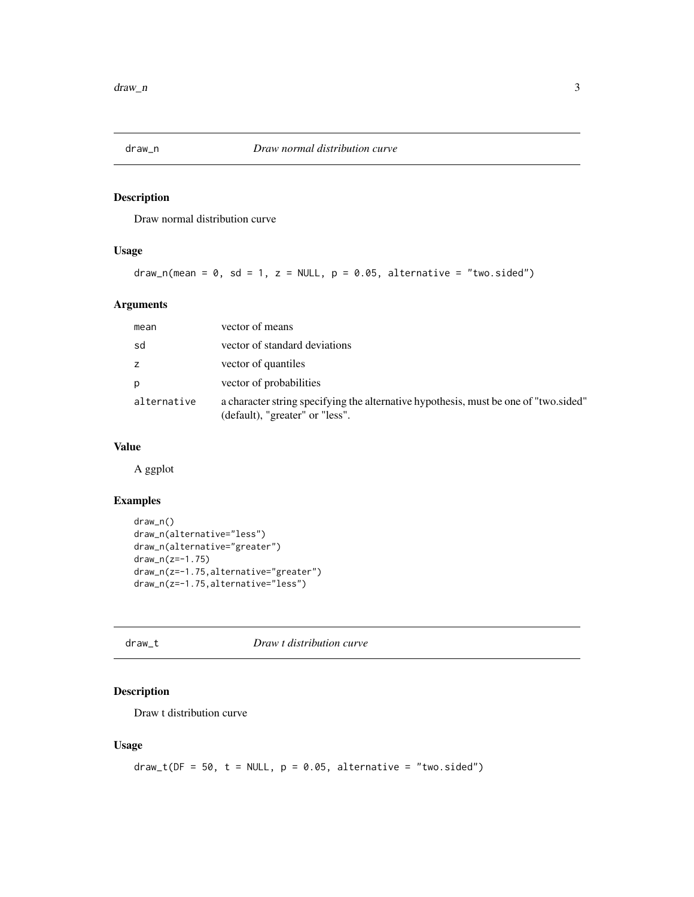<span id="page-2-0"></span>

Draw normal distribution curve

#### Usage

draw\_n(mean =  $0$ , sd = 1, z = NULL,  $p = 0.05$ , alternative = "two.sided")

#### Arguments

| mean        | vector of means                                                                                                         |
|-------------|-------------------------------------------------------------------------------------------------------------------------|
| sd          | vector of standard deviations                                                                                           |
| z           | vector of quantiles                                                                                                     |
| p           | vector of probabilities                                                                                                 |
| alternative | a character string specifying the alternative hypothesis, must be one of "two sided"<br>(default), "greater" or "less". |

#### Value

A ggplot

#### Examples

```
draw_n()
draw_n(alternative="less")
draw_n(alternative="greater")
draw_n(z=-1.75)
draw_n(z=-1.75,alternative="greater")
draw_n(z=-1.75,alternative="less")
```
#### draw\_t *Draw t distribution curve*

# Description

Draw t distribution curve

#### Usage

```
draw_t(DF = 50, t = NULL, p = 0.05, alternative = "two.sided")
```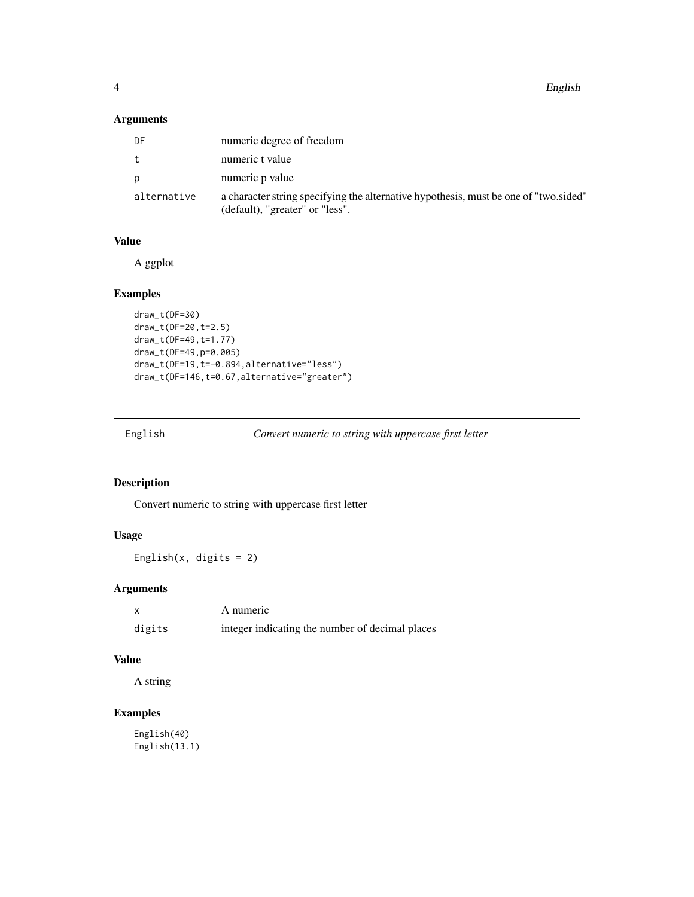<span id="page-3-0"></span>4 English

# Arguments

| DF          | numeric degree of freedom                                                                                               |
|-------------|-------------------------------------------------------------------------------------------------------------------------|
| t.          | numeric t value                                                                                                         |
| D           | numeric p value                                                                                                         |
| alternative | a character string specifying the alternative hypothesis, must be one of "two sided"<br>(default), "greater" or "less". |

# Value

A ggplot

# Examples

```
draw_t(DF=30)
draw_t(DF=20,t=2.5)
draw_t(DF=49,t=1.77)
draw_t(DF=49,p=0.005)
draw_t(DF=19,t=-0.894,alternative="less")
draw_t(DF=146,t=0.67,alternative="greater")
```

| English | Convert numeric to string with uppercase first letter |
|---------|-------------------------------------------------------|

# Description

Convert numeric to string with uppercase first letter

# Usage

English $(x, \text{ digits} = 2)$ 

# Arguments

|        | A numeric                                       |
|--------|-------------------------------------------------|
| digits | integer indicating the number of decimal places |

#### Value

A string

# Examples

English(40) English(13.1)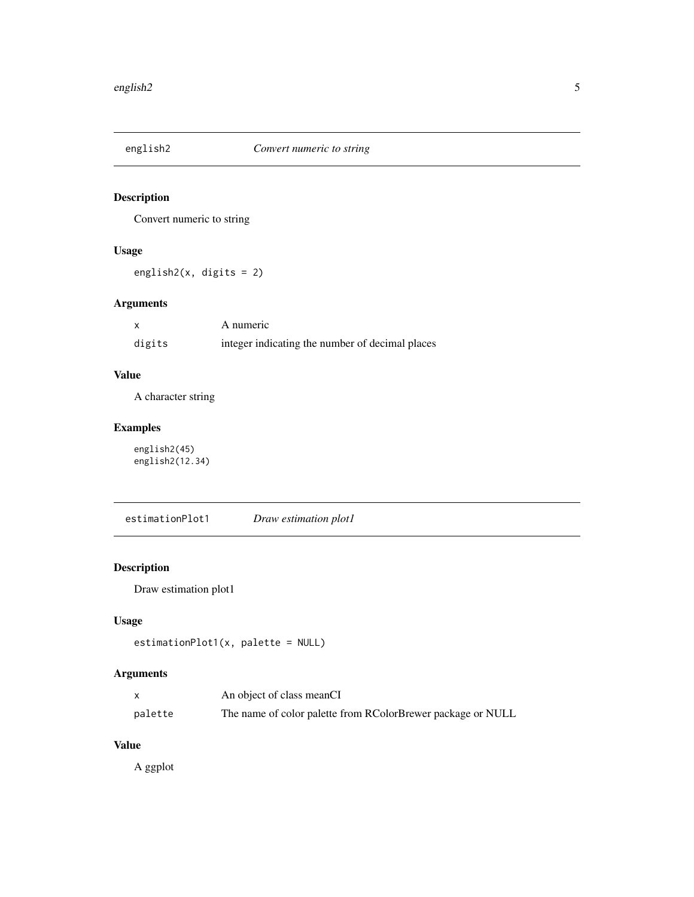<span id="page-4-0"></span>

Convert numeric to string

# Usage

english2(x, digits = 2)

#### Arguments

|        | A numeric                                       |
|--------|-------------------------------------------------|
| digits | integer indicating the number of decimal places |

# Value

A character string

# Examples

english2(45) english2(12.34)

estimationPlot1 *Draw estimation plot1*

# Description

Draw estimation plot1

#### Usage

```
estimationPlot1(x, palette = NULL)
```
# Arguments

|         | An object of class meanCI                                   |
|---------|-------------------------------------------------------------|
| palette | The name of color palette from RColorBrewer package or NULL |

#### Value

A ggplot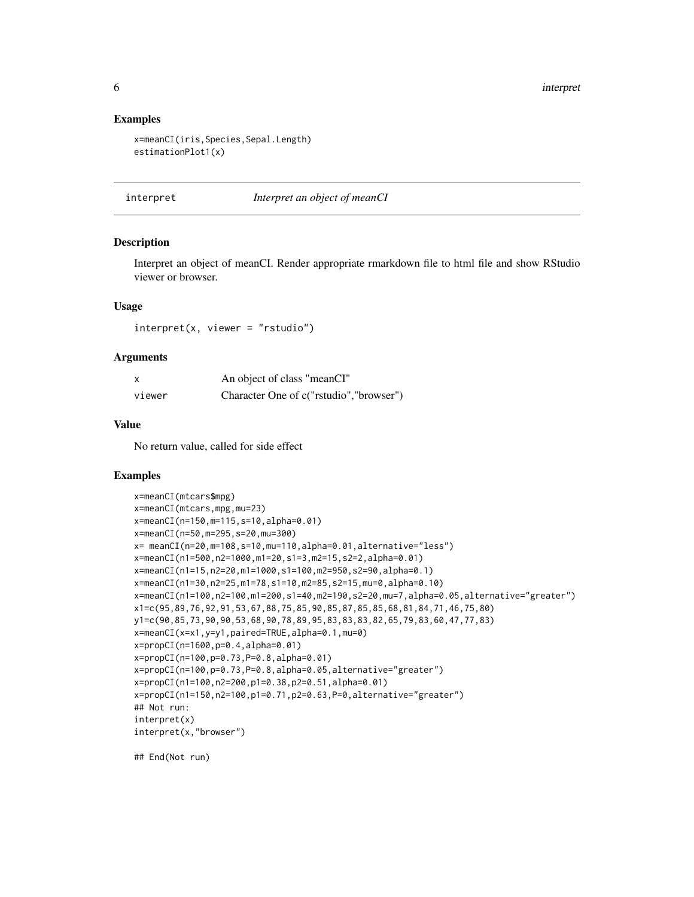6 interpret

#### Examples

```
x=meanCI(iris,Species,Sepal.Length)
estimationPlot1(x)
```
interpret *Interpret an object of meanCI*

#### Description

Interpret an object of meanCI. Render appropriate rmarkdown file to html file and show RStudio viewer or browser.

#### Usage

interpret(x, viewer = "rstudio")

#### Arguments

| x      | An object of class "meanCI"             |
|--------|-----------------------------------------|
| viewer | Character One of c("rstudio","browser") |

#### Value

No return value, called for side effect

#### Examples

```
x=meanCI(mtcars$mpg)
x=meanCI(mtcars,mpg,mu=23)
x=meanCI(n=150,m=115,s=10,alpha=0.01)
x=meanCI(n=50,m=295,s=20,mu=300)
x= meanCI(n=20,m=108,s=10,mu=110,alpha=0.01,alternative="less")
x=meanCI(n1=500,n2=1000,m1=20,s1=3,m2=15,s2=2,alpha=0.01)
x=meanCI(n1=15,n2=20,m1=1000,s1=100,m2=950,s2=90,alpha=0.1)
x=meanCI(n1=30,n2=25,m1=78,s1=10,m2=85,s2=15,mu=0,alpha=0.10)
x=meanCI(n1=100,n2=100,m1=200,s1=40,m2=190,s2=20,mu=7,alpha=0.05,alternative="greater")
x1=c(95,89,76,92,91,53,67,88,75,85,90,85,87,85,85,68,81,84,71,46,75,80)
y1=c(90,85,73,90,90,53,68,90,78,89,95,83,83,83,82,65,79,83,60,47,77,83)
x=meanCI(x=x1,y=y1,paired=TRUE,alpha=0.1,mu=0)
x=propCI(n=1600,p=0.4,alpha=0.01)
x=propCI(n=100,p=0.73,P=0.8,alpha=0.01)
x=propCI(n=100,p=0.73,P=0.8,alpha=0.05,alternative="greater")
x=propCI(n1=100,n2=200,p1=0.38,p2=0.51,alpha=0.01)
x=propCI(n1=150,n2=100,p1=0.71,p2=0.63,P=0,alternative="greater")
## Not run:
interpret(x)
interpret(x,"browser")
```
## End(Not run)

<span id="page-5-0"></span>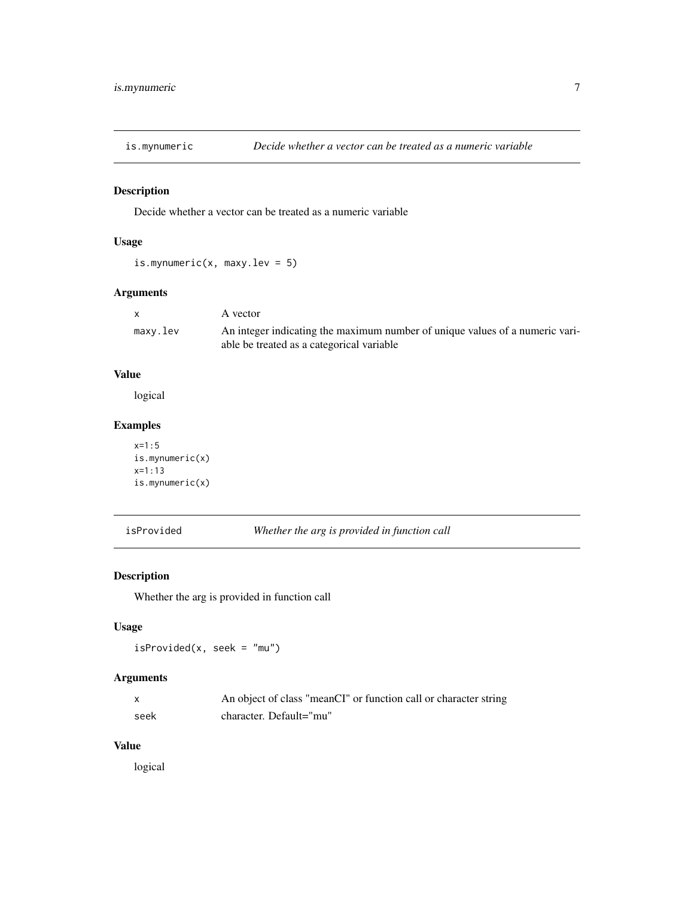<span id="page-6-0"></span>

Decide whether a vector can be treated as a numeric variable

#### Usage

is.mynumeric(x, maxy.lev = 5)

# Arguments

| $\mathsf{x}$ | A vector                                                                                                                  |
|--------------|---------------------------------------------------------------------------------------------------------------------------|
| maxy.lev     | An integer indicating the maximum number of unique values of a numeric vari-<br>able be treated as a categorical variable |

#### Value

logical

# Examples

```
x=1:5
is.mynumeric(x)
x=1:13
is.mynumeric(x)
```
isProvided *Whether the arg is provided in function call*

#### Description

Whether the arg is provided in function call

#### Usage

isProvided(x, seek = "mu")

#### Arguments

|      | An object of class "meanCI" or function call or character string |
|------|------------------------------------------------------------------|
| seek | character. Default="mu"                                          |

#### Value

logical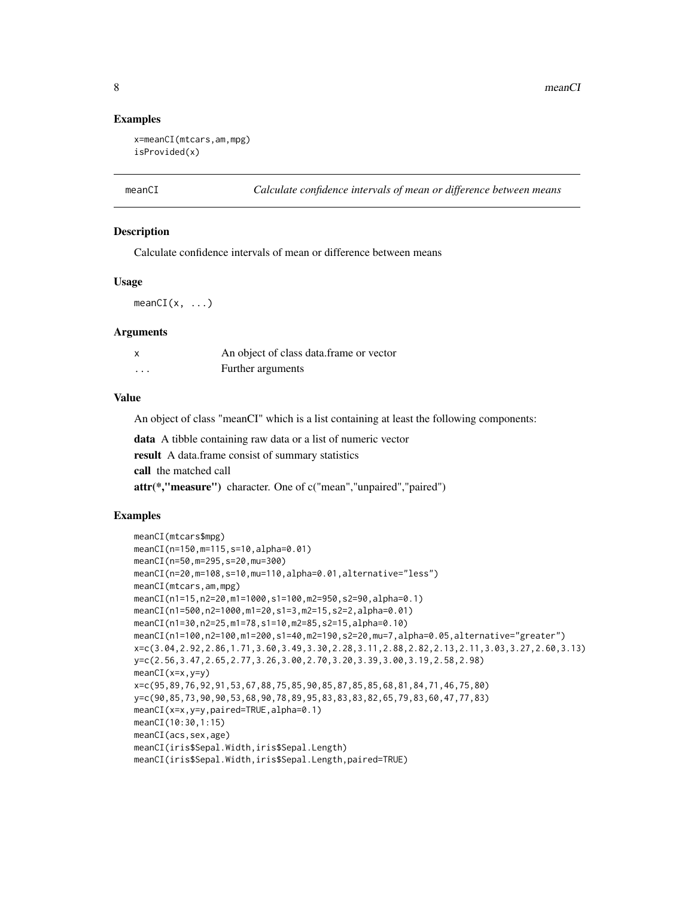#### Examples

```
x=meanCI(mtcars,am,mpg)
isProvided(x)
```
meanCI *Calculate confidence intervals of mean or difference between means*

#### **Description**

Calculate confidence intervals of mean or difference between means

#### Usage

 $meanCI(x, \ldots)$ 

#### Arguments

|                   | An object of class data.frame or vector |
|-------------------|-----------------------------------------|
| $\cdot\cdot\cdot$ | Further arguments                       |

#### Value

An object of class "meanCI" which is a list containing at least the following components:

data A tibble containing raw data or a list of numeric vector result A data.frame consist of summary statistics call the matched call attr(\*,"measure") character. One of c("mean","unpaired","paired")

#### Examples

```
meanCI(mtcars$mpg)
meanCI(n=150,m=115,s=10,alpha=0.01)
meanCI(n=50,m=295,s=20,mu=300)
meanCI(n=20,m=108,s=10,mu=110,alpha=0.01,alternative="less")
meanCI(mtcars,am,mpg)
meanCI(n1=15,n2=20,m1=1000,s1=100,m2=950,s2=90,alpha=0.1)
meanCI(n1=500,n2=1000,m1=20,s1=3,m2=15,s2=2,alpha=0.01)
meanCI(n1=30,n2=25,m1=78,s1=10,m2=85,s2=15,alpha=0.10)
meanCI(n1=100,n2=100,m1=200,s1=40,m2=190,s2=20,mu=7,alpha=0.05,alternative="greater")
x=c(3.04,2.92,2.86,1.71,3.60,3.49,3.30,2.28,3.11,2.88,2.82,2.13,2.11,3.03,3.27,2.60,3.13)
y=c(2.56,3.47,2.65,2.77,3.26,3.00,2.70,3.20,3.39,3.00,3.19,2.58,2.98)
meanCI(x=x, y=y)x=c(95,89,76,92,91,53,67,88,75,85,90,85,87,85,85,68,81,84,71,46,75,80)
y=c(90,85,73,90,90,53,68,90,78,89,95,83,83,83,82,65,79,83,60,47,77,83)
meanCI(x=x,y=y,paired=TRUE,alpha=0.1)
meanCI(10:30,1:15)
meanCI(acs,sex,age)
meanCI(iris$Sepal.Width,iris$Sepal.Length)
meanCI(iris$Sepal.Width,iris$Sepal.Length,paired=TRUE)
```
<span id="page-7-0"></span>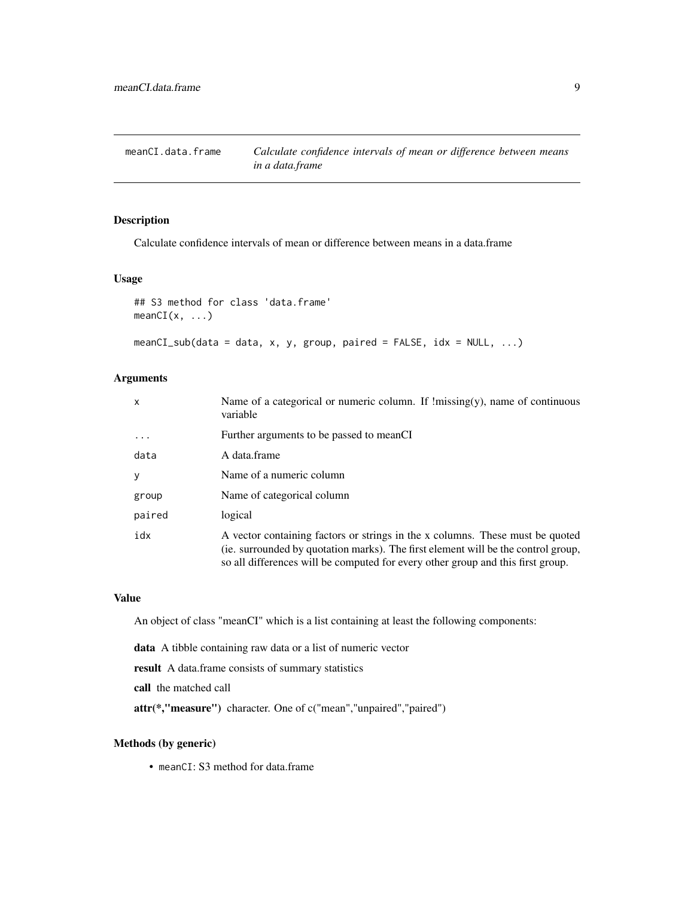<span id="page-8-0"></span>meanCI.data.frame *Calculate confidence intervals of mean or difference between means in a data.frame*

#### Description

Calculate confidence intervals of mean or difference between means in a data.frame

#### Usage

```
## S3 method for class 'data.frame'
meanCI(x, \ldots)
```

```
meanCI\_sub(data = data, x, y, group, paired = FALSE, idx = NULL, ...)
```
#### Arguments

| $\mathsf{x}$ | Name of a categorical or numeric column. If $\text{!missing}(y)$ , name of continuous<br>variable                                                                                                                                                     |
|--------------|-------------------------------------------------------------------------------------------------------------------------------------------------------------------------------------------------------------------------------------------------------|
| $\cdots$     | Further arguments to be passed to meanCI                                                                                                                                                                                                              |
| data         | A data frame                                                                                                                                                                                                                                          |
| y            | Name of a numeric column                                                                                                                                                                                                                              |
| group        | Name of categorical column                                                                                                                                                                                                                            |
| paired       | logical                                                                                                                                                                                                                                               |
| idx          | A vector containing factors or strings in the x columns. These must be quoted<br>(ie. surrounded by quotation marks). The first element will be the control group,<br>so all differences will be computed for every other group and this first group. |

#### Value

An object of class "meanCI" which is a list containing at least the following components:

data A tibble containing raw data or a list of numeric vector

result A data.frame consists of summary statistics

call the matched call

attr(\*,"measure") character. One of c("mean","unpaired","paired")

#### Methods (by generic)

• meanCI: S3 method for data.frame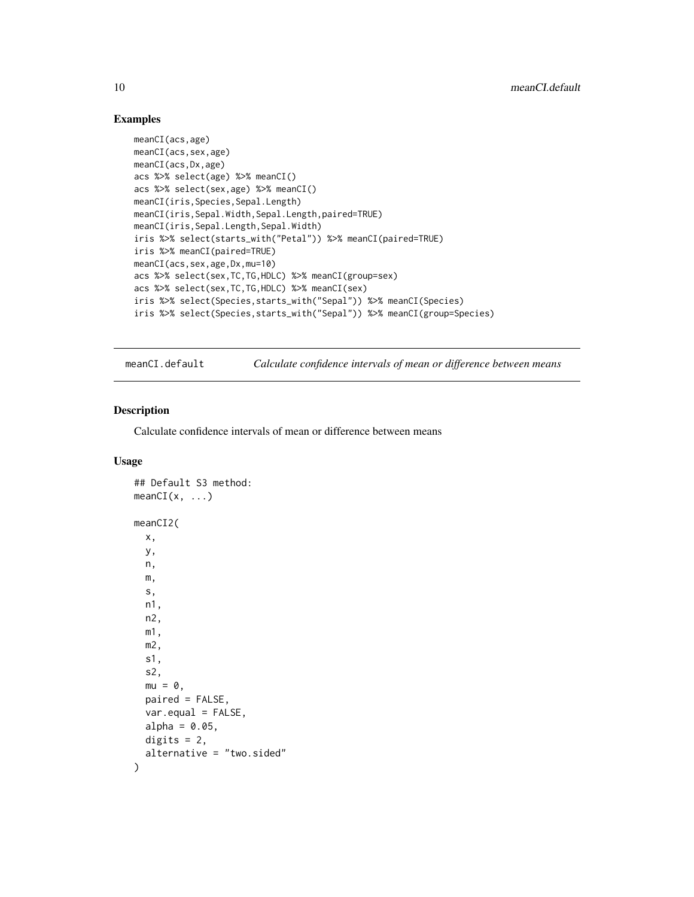# Examples

```
meanCI(acs,age)
meanCI(acs,sex,age)
meanCI(acs,Dx,age)
acs %>% select(age) %>% meanCI()
acs %>% select(sex,age) %>% meanCI()
meanCI(iris,Species,Sepal.Length)
meanCI(iris,Sepal.Width,Sepal.Length,paired=TRUE)
meanCI(iris,Sepal.Length,Sepal.Width)
iris %>% select(starts_with("Petal")) %>% meanCI(paired=TRUE)
iris %>% meanCI(paired=TRUE)
meanCI(acs,sex,age,Dx,mu=10)
acs %>% select(sex,TC,TG,HDLC) %>% meanCI(group=sex)
acs %>% select(sex,TC,TG,HDLC) %>% meanCI(sex)
iris %>% select(Species,starts_with("Sepal")) %>% meanCI(Species)
iris %>% select(Species,starts_with("Sepal")) %>% meanCI(group=Species)
```
meanCI.default *Calculate confidence intervals of mean or difference between means*

#### Description

Calculate confidence intervals of mean or difference between means

#### Usage

```
## Default S3 method:
meanCI(x, \ldots)meanCI2(
  x,
 y,
  n,
 m,
  s,
  n1,
  n2,
 m1,
 m2,
  s1,
  s2,
 mu = 0,
 paired = FALSE,
 var.equal = FALSE,
  alpha = 0.05,
 digits = 2,
  alternative = "two.sided"
)
```
<span id="page-9-0"></span>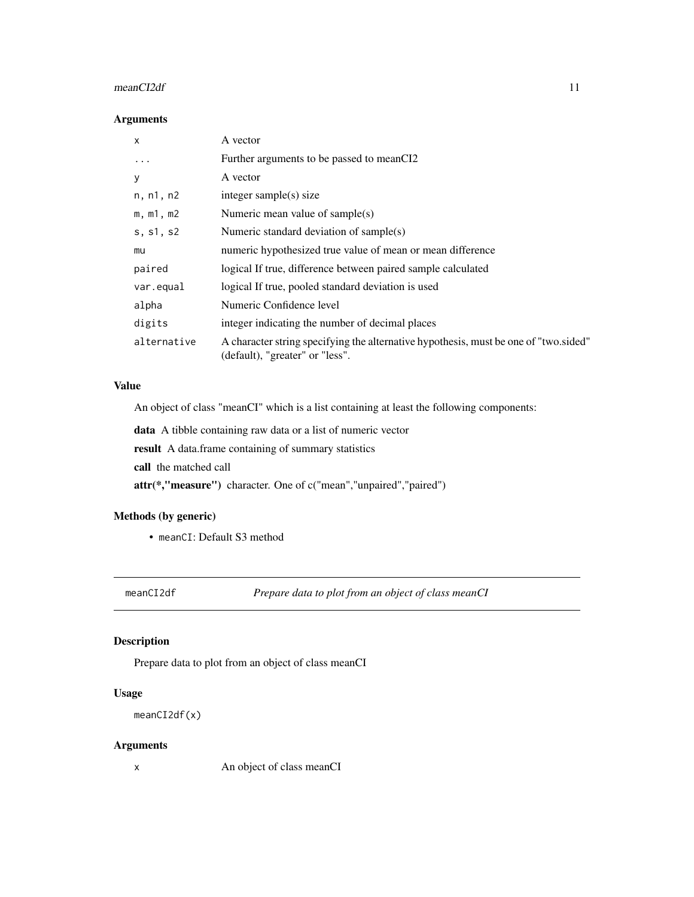#### <span id="page-10-0"></span> $meanCI2df$  11

#### Arguments

| $\mathsf{x}$ | A vector                                                                                                                |
|--------------|-------------------------------------------------------------------------------------------------------------------------|
| $\ddotsc$    | Further arguments to be passed to meanCI2                                                                               |
| У            | A vector                                                                                                                |
| n, n1, n2    | integer sample $(s)$ size                                                                                               |
| m, m1, m2    | Numeric mean value of sample(s)                                                                                         |
| s, s1, s2    | Numeric standard deviation of sample(s)                                                                                 |
| mu           | numeric hypothesized true value of mean or mean difference                                                              |
| paired       | logical If true, difference between paired sample calculated                                                            |
| var.equal    | logical If true, pooled standard deviation is used                                                                      |
| alpha        | Numeric Confidence level                                                                                                |
| digits       | integer indicating the number of decimal places                                                                         |
| alternative  | A character string specifying the alternative hypothesis, must be one of "two sided"<br>(default), "greater" or "less". |

#### Value

An object of class "meanCI" which is a list containing at least the following components:

data A tibble containing raw data or a list of numeric vector

result A data.frame containing of summary statistics

call the matched call

attr(\*,"measure") character. One of c("mean","unpaired","paired")

#### Methods (by generic)

• meanCI: Default S3 method

meanCI2df *Prepare data to plot from an object of class meanCI*

#### Description

Prepare data to plot from an object of class meanCI

# Usage

```
meanCI2df(x)
```
#### Arguments

x An object of class meanCI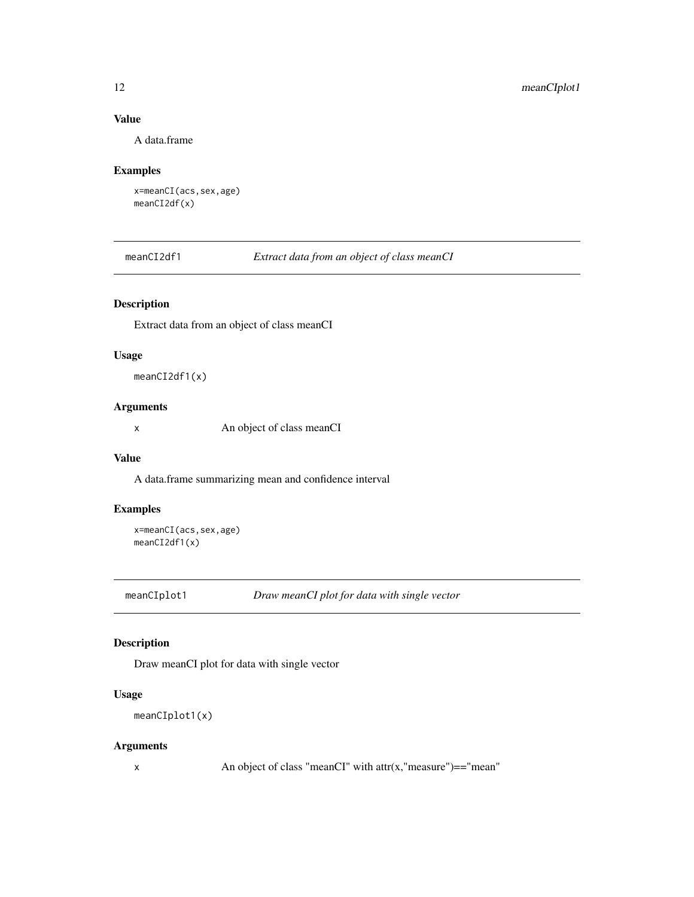#### <span id="page-11-0"></span>Value

A data.frame

# Examples

x=meanCI(acs,sex,age) meanCI2df(x)

meanCI2df1 *Extract data from an object of class meanCI*

#### Description

Extract data from an object of class meanCI

#### Usage

meanCI2df1(x)

#### Arguments

x An object of class meanCI

#### Value

A data.frame summarizing mean and confidence interval

#### Examples

```
x=meanCI(acs,sex,age)
meanCI2df1(x)
```
meanCIplot1 *Draw meanCI plot for data with single vector*

#### Description

Draw meanCI plot for data with single vector

#### Usage

```
meanCIplot1(x)
```
#### Arguments

 $x$  An object of class "meanCI" with attr $(x, "measure") == "mean"$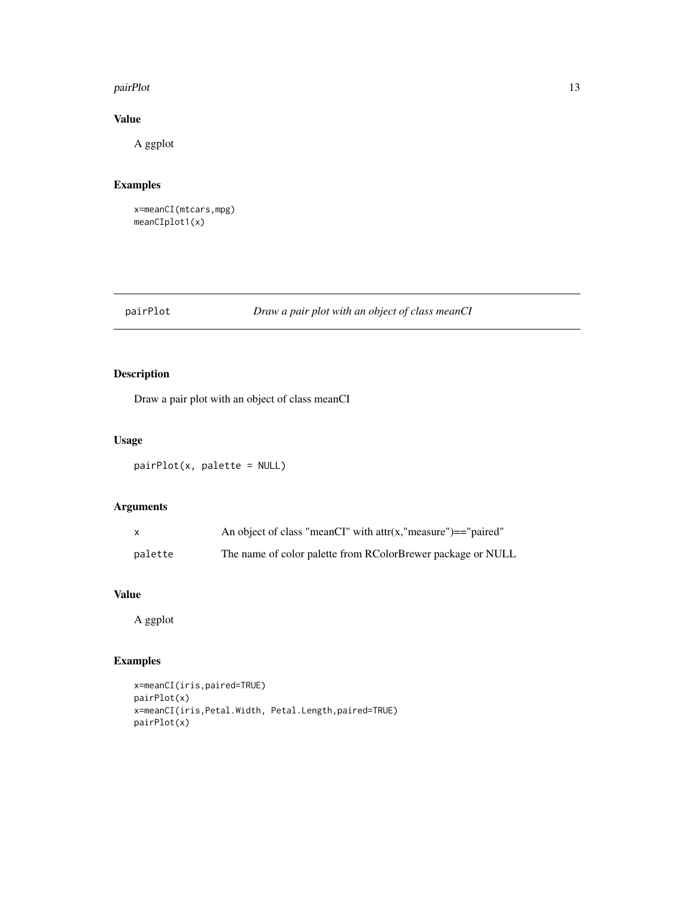#### <span id="page-12-0"></span>pairPlot that the contract of the contract of the contract of the contract of the contract of the contract of the contract of the contract of the contract of the contract of the contract of the contract of the contract of

# Value

A ggplot

# Examples

```
x=meanCI(mtcars,mpg)
meanCIplot1(x)
```
# pairPlot *Draw a pair plot with an object of class meanCI*

# Description

Draw a pair plot with an object of class meanCI

#### Usage

pairPlot(x, palette = NULL)

# Arguments

| X       | An object of class "meanCI" with $attr(x, "measure") == "paired"$ |
|---------|-------------------------------------------------------------------|
| palette | The name of color palette from RColorBrewer package or NULL       |

#### Value

A ggplot

# Examples

```
x=meanCI(iris,paired=TRUE)
pairPlot(x)
x=meanCI(iris,Petal.Width, Petal.Length,paired=TRUE)
pairPlot(x)
```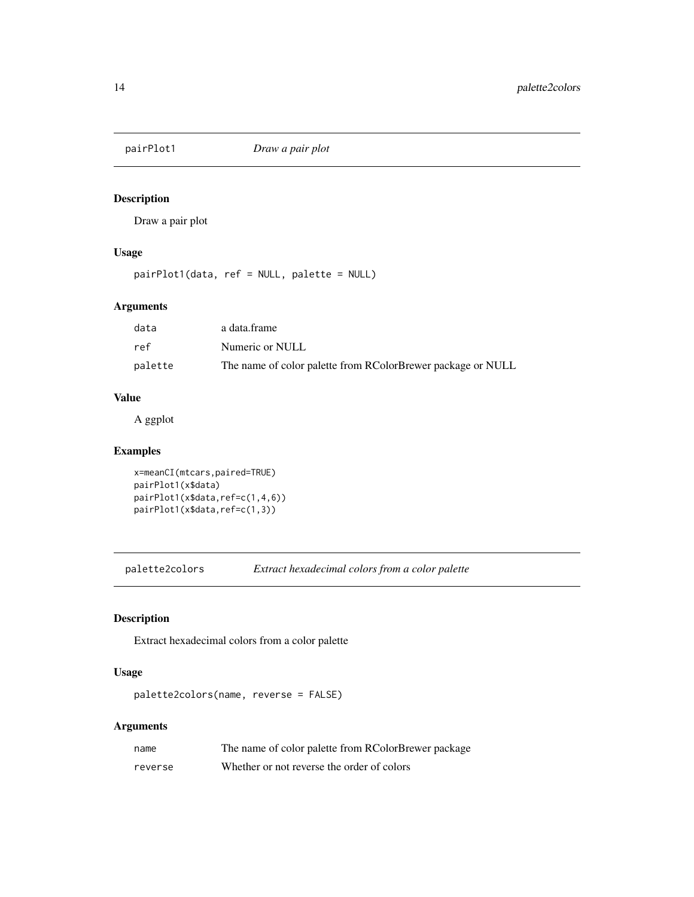<span id="page-13-0"></span>

Draw a pair plot

#### Usage

pairPlot1(data, ref = NULL, palette = NULL)

# Arguments

| data    | a data.frame                                                |
|---------|-------------------------------------------------------------|
| ref     | Numeric or NULL                                             |
| palette | The name of color palette from RColorBrewer package or NULL |

#### Value

A ggplot

#### Examples

```
x=meanCI(mtcars,paired=TRUE)
pairPlot1(x$data)
pairPlot1(x$data,ref=c(1,4,6))
pairPlot1(x$data,ref=c(1,3))
```
palette2colors *Extract hexadecimal colors from a color palette*

#### Description

Extract hexadecimal colors from a color palette

### Usage

palette2colors(name, reverse = FALSE)

#### Arguments

| name    | The name of color palette from RColorBrewer package |
|---------|-----------------------------------------------------|
| reverse | Whether or not reverse the order of colors          |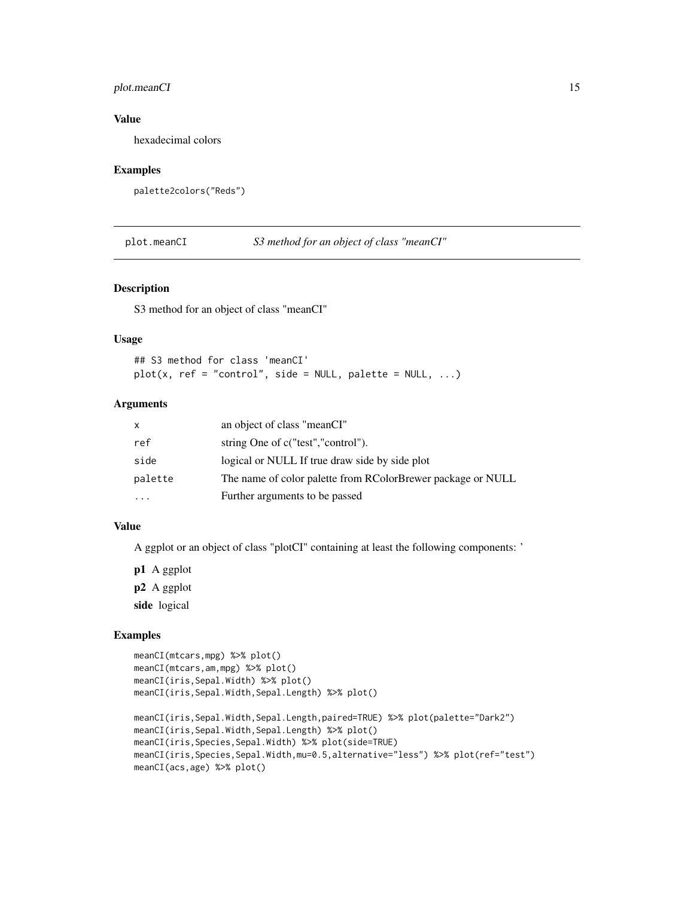#### <span id="page-14-0"></span>plot.meanCI 15

# Value

hexadecimal colors

#### Examples

palette2colors("Reds")

plot.meanCI *S3 method for an object of class "meanCI"*

#### Description

S3 method for an object of class "meanCI"

#### Usage

```
## S3 method for class 'meanCI'
plot(x, ref = "control", side = NULL, palette = NULL, ...)
```
#### Arguments

| $\mathsf{x}$ | an object of class "meanCI"                                 |
|--------------|-------------------------------------------------------------|
| ref          | string One of c("test","control").                          |
| side         | logical or NULL If true draw side by side plot              |
| palette      | The name of color palette from RColorBrewer package or NULL |
| $\ddotsc$    | Further arguments to be passed                              |

#### Value

A ggplot or an object of class "plotCI" containing at least the following components: '

p1 A ggplot p2 A ggplot side logical

#### Examples

```
meanCI(mtcars,mpg) %>% plot()
meanCI(mtcars,am,mpg) %>% plot()
meanCI(iris,Sepal.Width) %>% plot()
meanCI(iris,Sepal.Width,Sepal.Length) %>% plot()
meanCI(iris,Sepal.Width,Sepal.Length,paired=TRUE) %>% plot(palette="Dark2")
meanCI(iris,Sepal.Width,Sepal.Length) %>% plot()
meanCI(iris,Species,Sepal.Width) %>% plot(side=TRUE)
meanCI(iris,Species,Sepal.Width,mu=0.5,alternative="less") %>% plot(ref="test")
meanCI(acs,age) %>% plot()
```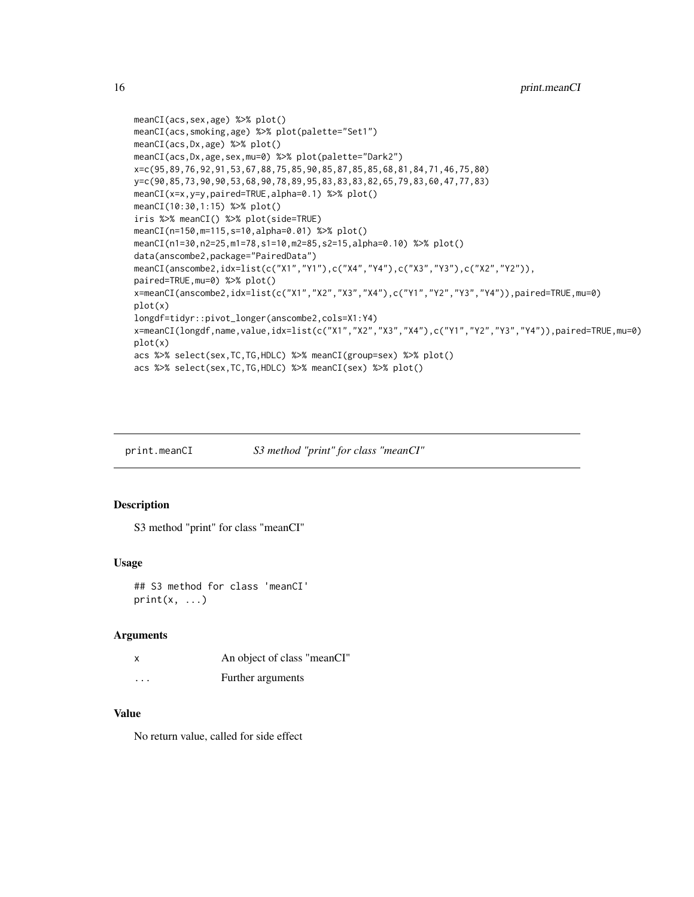```
meanCI(acs,sex,age) %>% plot()
meanCI(acs,smoking,age) %>% plot(palette="Set1")
meanCI(acs,Dx,age) %>% plot()
meanCI(acs,Dx,age,sex,mu=0) %>% plot(palette="Dark2")
x=c(95,89,76,92,91,53,67,88,75,85,90,85,87,85,85,68,81,84,71,46,75,80)
y=c(90,85,73,90,90,53,68,90,78,89,95,83,83,83,82,65,79,83,60,47,77,83)
meanCI(x=x,y=y,paired=TRUE,alpha=0.1) %>% plot()
meanCI(10:30,1:15) %>% plot()
iris %>% meanCI() %>% plot(side=TRUE)
meanCI(n=150,m=115,s=10,alpha=0.01) %>% plot()
meanCI(n1=30,n2=25,m1=78,s1=10,m2=85,s2=15,alpha=0.10) %>% plot()
data(anscombe2,package="PairedData")
meanCI(anscombe2,idx=list(c("X1","Y1"),c("X4","Y4"),c("X3","Y3"),c("X2","Y2")),
paired=TRUE,mu=0) %>% plot()
x=meanCI(anscombe2,idx=list(c("X1","X2","X3","X4"),c("Y1","Y2","Y3","Y4")),paired=TRUE,mu=0)
plot(x)
longdf=tidyr::pivot_longer(anscombe2,cols=X1:Y4)
x=meanCI(longdf,name,value,idx=list(c("X1","X2","X3","X4"),c("Y1","Y2","Y3","Y4")),paired=TRUE,mu=0)
plot(x)
acs %>% select(sex,TC,TG,HDLC) %>% meanCI(group=sex) %>% plot()
acs %>% select(sex,TC,TG,HDLC) %>% meanCI(sex) %>% plot()
```
print.meanCI *S3 method "print" for class "meanCI"*

#### Description

S3 method "print" for class "meanCI"

#### Usage

```
## S3 method for class 'meanCI'
print(x, \ldots)
```
#### Arguments

|          | An object of class "meanCI" |
|----------|-----------------------------|
| $\cdots$ | Further arguments           |

#### Value

No return value, called for side effect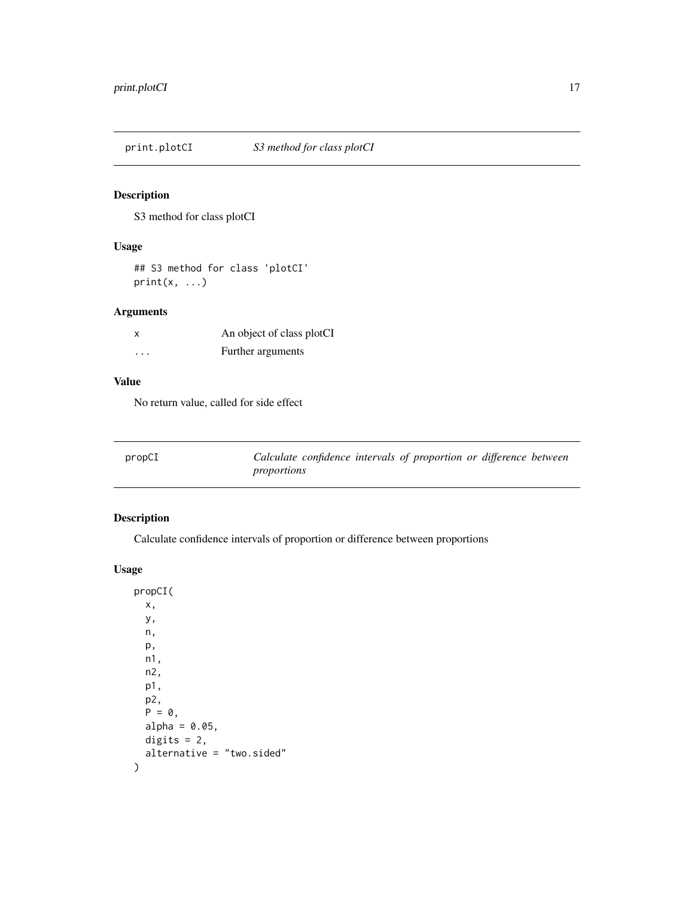<span id="page-16-0"></span>

S3 method for class plotCI

#### Usage

## S3 method for class 'plotCI'  $print(x, \ldots)$ 

# Arguments

|         | An object of class plotCI |
|---------|---------------------------|
| $\cdot$ | Further arguments         |

# Value

No return value, called for side effect

| propCI | Calculate confidence intervals of proportion or difference between |  |  |
|--------|--------------------------------------------------------------------|--|--|
|        | proportions                                                        |  |  |

# Description

Calculate confidence intervals of proportion or difference between proportions

#### Usage

propCI( x, y, n, p, n1, n2, p1, p2,  $P = 0$ , alpha =  $0.05$ , digits =  $2$ , alternative = "two.sided"  $\mathcal{L}$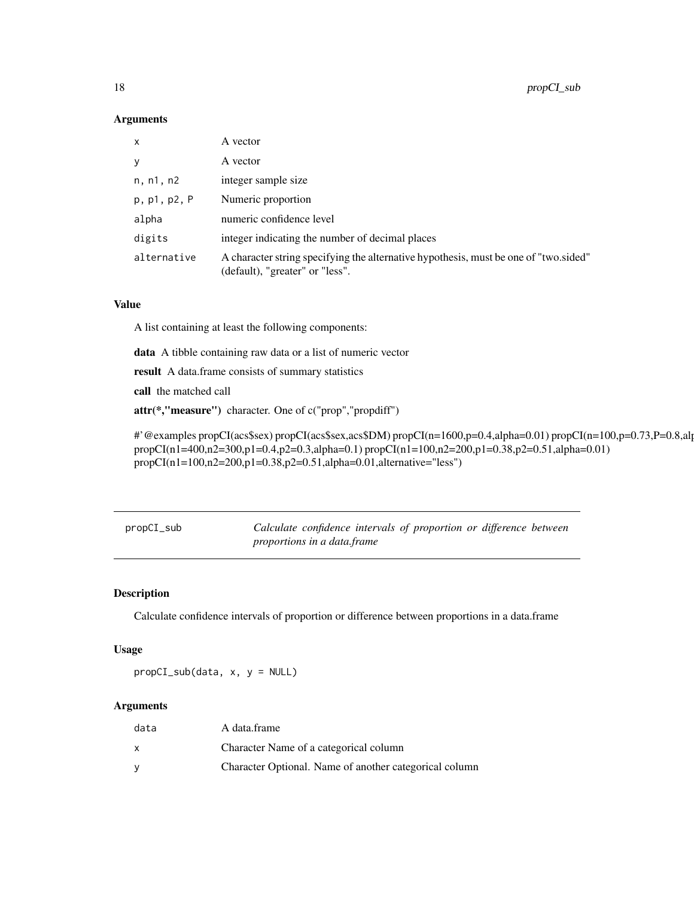#### Arguments

| x            | A vector                                                                                                                |
|--------------|-------------------------------------------------------------------------------------------------------------------------|
| v            | A vector                                                                                                                |
| n, n1, n2    | integer sample size                                                                                                     |
| p, p1, p2, P | Numeric proportion                                                                                                      |
| alpha        | numeric confidence level                                                                                                |
| digits       | integer indicating the number of decimal places                                                                         |
| alternative  | A character string specifying the alternative hypothesis, must be one of "two sided"<br>(default), "greater" or "less". |

#### Value

A list containing at least the following components:

data A tibble containing raw data or a list of numeric vector

result A data.frame consists of summary statistics

call the matched call

attr(\*,"measure") character. One of c("prop","propdiff")

#'@examples propCI(acs\$sex) propCI(acs\$sex,acs\$DM) propCI(n=1600,p=0.4,alpha=0.01) propCI(n=100,p=0.73,P=0.8,alpha=0.01) propCI(n1=400,n2=300,p1=0.4,p2=0.3,alpha=0.1) propCI(n1=100,n2=200,p1=0.38,p2=0.51,alpha=0.01) propCI(n1=100,n2=200,p1=0.38,p2=0.51,alpha=0.01,alternative="less")

| propCI_sub |                             |  | Calculate confidence intervals of proportion or difference between |  |  |
|------------|-----------------------------|--|--------------------------------------------------------------------|--|--|
|            | proportions in a data.frame |  |                                                                    |  |  |

#### Description

Calculate confidence intervals of proportion or difference between proportions in a data.frame

#### Usage

propCI\_sub(data, x, y = NULL)

#### Arguments

| data | A data.frame                                           |
|------|--------------------------------------------------------|
| x    | Character Name of a categorical column                 |
| v    | Character Optional. Name of another categorical column |

<span id="page-17-0"></span>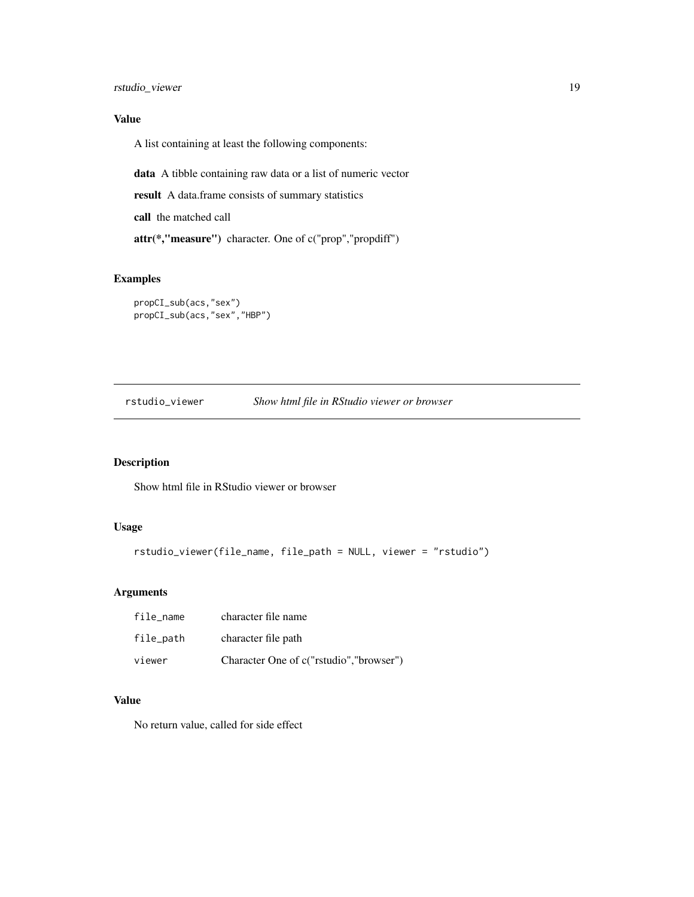<span id="page-18-0"></span>rstudio\_viewer 19

## Value

A list containing at least the following components:

data A tibble containing raw data or a list of numeric vector

result A data.frame consists of summary statistics

call the matched call

attr(\*,"measure") character. One of c("prop","propdiff")

#### Examples

```
propCI_sub(acs,"sex")
propCI_sub(acs,"sex","HBP")
```
rstudio\_viewer *Show html file in RStudio viewer or browser*

# Description

Show html file in RStudio viewer or browser

#### Usage

```
rstudio_viewer(file_name, file_path = NULL, viewer = "rstudio")
```
# Arguments

| file name | character file name                     |
|-----------|-----------------------------------------|
| file_path | character file path                     |
| viewer    | Character One of c("rstudio","browser") |

### Value

No return value, called for side effect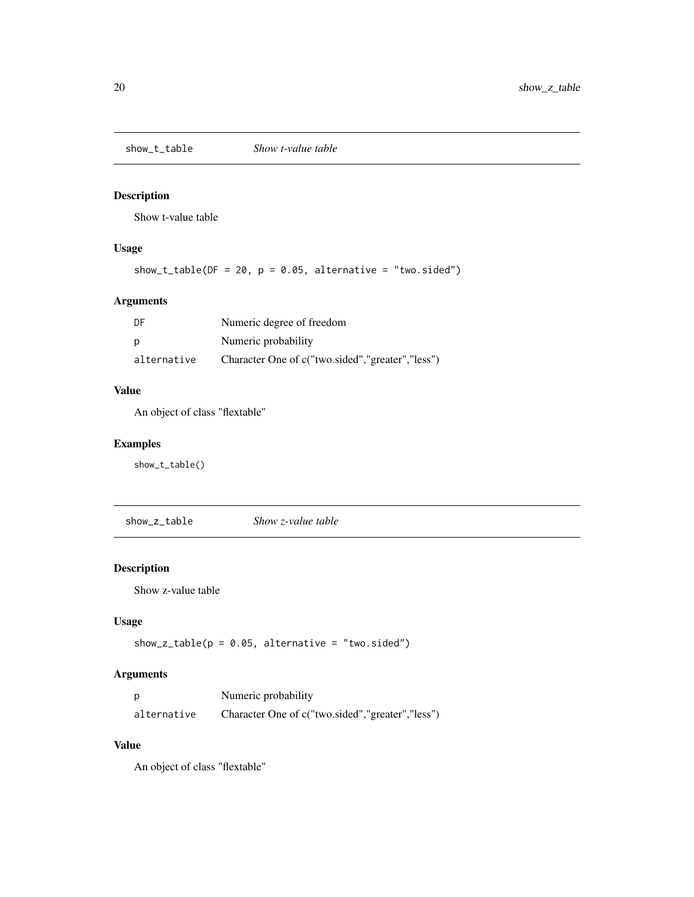<span id="page-19-0"></span>

Show t-value table

#### Usage

show\_t\_table( $DF = 20$ ,  $p = 0.05$ , alternative = "two.sided")

# Arguments

| DF          | Numeric degree of freedom                        |
|-------------|--------------------------------------------------|
| p           | Numeric probability                              |
| alternative | Character One of c("two.sided","greater","less") |

#### Value

An object of class "flextable"

#### Examples

show\_t\_table()

show\_z\_table *Show z-value table*

# Description

Show z-value table

#### Usage

show\_z\_table( $p = 0.05$ , alternative = "two.sided")

# Arguments

| D           | Numeric probability                              |
|-------------|--------------------------------------------------|
| alternative | Character One of c("two.sided","greater","less") |

#### Value

An object of class "flextable"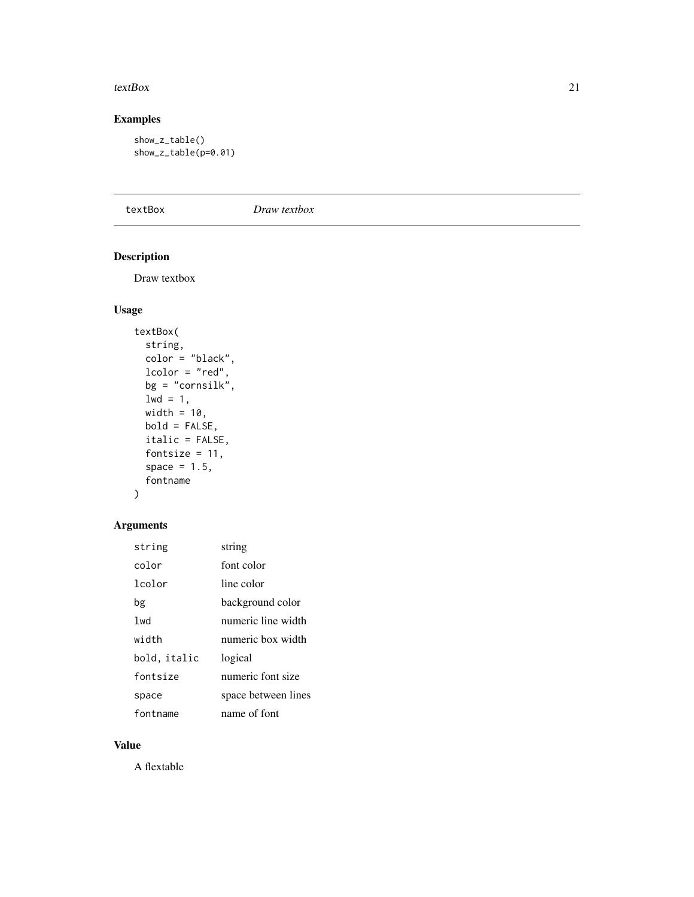#### <span id="page-20-0"></span>textBox  $21$

# Examples

```
show_z_table()
show_z_table(p=0.01)
```
textBox *Draw textbox*

# Description

Draw textbox

# Usage

```
textBox(
 string,
 color = "black",lcolor = "red",
 bg = "cornsilk",
 1wd = 1,
 width = 10,
 bold = FALSE,
  italic = FALSE,
  fontsize = 11,
  space = 1.5,
  fontname
\mathcal{L}
```
# Arguments

| string           | string              |
|------------------|---------------------|
| color            | font color          |
| lcolor           | line color          |
| bg               | background color    |
| 1 <sub>w</sub> d | numeric line width  |
| width            | numeric box width   |
| bold, italic     | logical             |
| fontsize         | numeric font size   |
| space            | space between lines |
| fontname         | name of font        |

#### Value

A flextable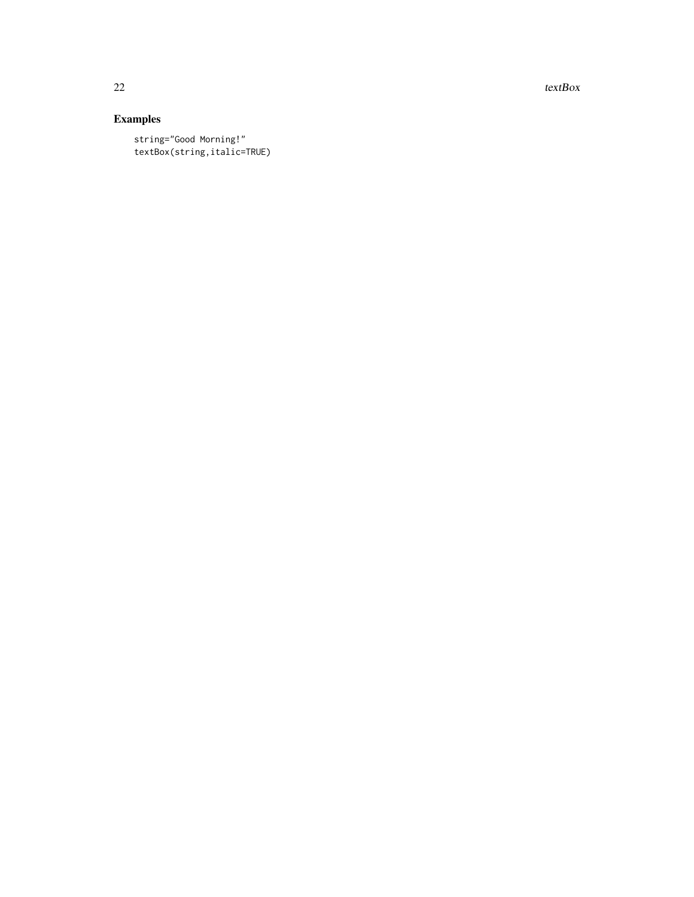22 textBox  $\sim$  textBox  $\sim$  textBox

# Examples

string="Good Morning!" textBox(string,italic=TRUE)